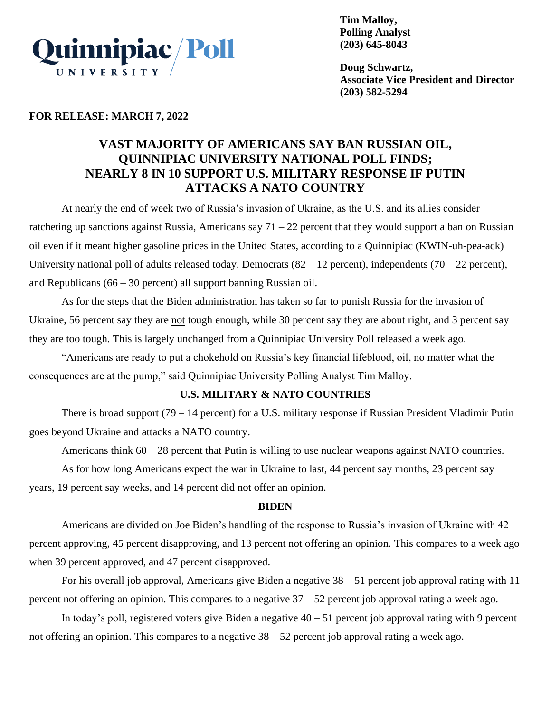

**Tim Malloy, Polling Analyst (203) 645-8043**

**Doug Schwartz, Associate Vice President and Director (203) 582-5294**

#### **FOR RELEASE: MARCH 7, 2022**

# **VAST MAJORITY OF AMERICANS SAY BAN RUSSIAN OIL, QUINNIPIAC UNIVERSITY NATIONAL POLL FINDS; NEARLY 8 IN 10 SUPPORT U.S. MILITARY RESPONSE IF PUTIN ATTACKS A NATO COUNTRY**

At nearly the end of week two of Russia's invasion of Ukraine, as the U.S. and its allies consider ratcheting up sanctions against Russia, Americans say  $71 - 22$  percent that they would support a ban on Russian oil even if it meant higher gasoline prices in the United States, according to a Quinnipiac (KWIN-uh-pea-ack) University national poll of adults released today. Democrats  $(82 – 12$  percent), independents  $(70 – 22$  percent), and Republicans (66 – 30 percent) all support banning Russian oil.

As for the steps that the Biden administration has taken so far to punish Russia for the invasion of Ukraine, 56 percent say they are not tough enough, while 30 percent say they are about right, and 3 percent say they are too tough. This is largely unchanged from a Quinnipiac University Poll released a week ago.

"Americans are ready to put a chokehold on Russia's key financial lifeblood, oil, no matter what the consequences are at the pump," said Quinnipiac University Polling Analyst Tim Malloy.

### **U.S. MILITARY & NATO COUNTRIES**

There is broad support (79 – 14 percent) for a U.S. military response if Russian President Vladimir Putin goes beyond Ukraine and attacks a NATO country.

Americans think  $60 - 28$  percent that Putin is willing to use nuclear weapons against NATO countries.

As for how long Americans expect the war in Ukraine to last, 44 percent say months, 23 percent say years, 19 percent say weeks, and 14 percent did not offer an opinion.

### **BIDEN**

Americans are divided on Joe Biden's handling of the response to Russia's invasion of Ukraine with 42 percent approving, 45 percent disapproving, and 13 percent not offering an opinion. This compares to a week ago when 39 percent approved, and 47 percent disapproved.

For his overall job approval, Americans give Biden a negative 38 – 51 percent job approval rating with 11 percent not offering an opinion. This compares to a negative 37 – 52 percent job approval rating a week ago.

In today's poll, registered voters give Biden a negative  $40 - 51$  percent job approval rating with 9 percent not offering an opinion. This compares to a negative 38 – 52 percent job approval rating a week ago.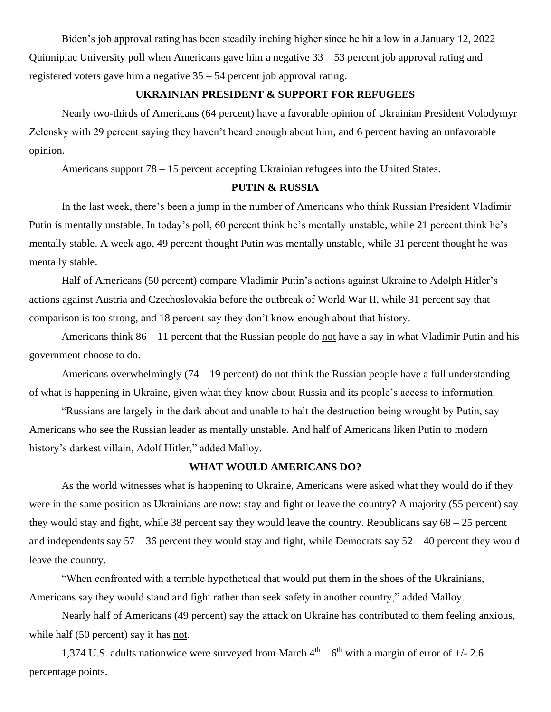Biden's job approval rating has been steadily inching higher since he hit a low in a January 12, 2022 Quinnipiac University poll when Americans gave him a negative 33 – 53 percent job approval rating and registered voters gave him a negative 35 – 54 percent job approval rating.

# **UKRAINIAN PRESIDENT & SUPPORT FOR REFUGEES**

Nearly two-thirds of Americans (64 percent) have a favorable opinion of Ukrainian President Volodymyr Zelensky with 29 percent saying they haven't heard enough about him, and 6 percent having an unfavorable opinion.

Americans support 78 – 15 percent accepting Ukrainian refugees into the United States.

#### **PUTIN & RUSSIA**

In the last week, there's been a jump in the number of Americans who think Russian President Vladimir Putin is mentally unstable. In today's poll, 60 percent think he's mentally unstable, while 21 percent think he's mentally stable. A week ago, 49 percent thought Putin was mentally unstable, while 31 percent thought he was mentally stable.

Half of Americans (50 percent) compare Vladimir Putin's actions against Ukraine to Adolph Hitler's actions against Austria and Czechoslovakia before the outbreak of World War II, while 31 percent say that comparison is too strong, and 18 percent say they don't know enough about that history.

Americans think 86 – 11 percent that the Russian people do not have a say in what Vladimir Putin and his government choose to do.

Americans overwhelmingly (74 – 19 percent) do not think the Russian people have a full understanding of what is happening in Ukraine, given what they know about Russia and its people's access to information.

"Russians are largely in the dark about and unable to halt the destruction being wrought by Putin, say Americans who see the Russian leader as mentally unstable. And half of Americans liken Putin to modern history's darkest villain, Adolf Hitler," added Malloy.

## **WHAT WOULD AMERICANS DO?**

As the world witnesses what is happening to Ukraine, Americans were asked what they would do if they were in the same position as Ukrainians are now: stay and fight or leave the country? A majority (55 percent) say they would stay and fight, while 38 percent say they would leave the country. Republicans say 68 – 25 percent and independents say  $57 - 36$  percent they would stay and fight, while Democrats say  $52 - 40$  percent they would leave the country.

"When confronted with a terrible hypothetical that would put them in the shoes of the Ukrainians, Americans say they would stand and fight rather than seek safety in another country," added Malloy.

Nearly half of Americans (49 percent) say the attack on Ukraine has contributed to them feeling anxious, while half (50 percent) say it has not.

1,374 U.S. adults nationwide were surveyed from March  $4<sup>th</sup> - 6<sup>th</sup>$  with a margin of error of  $+/- 2.6$ percentage points.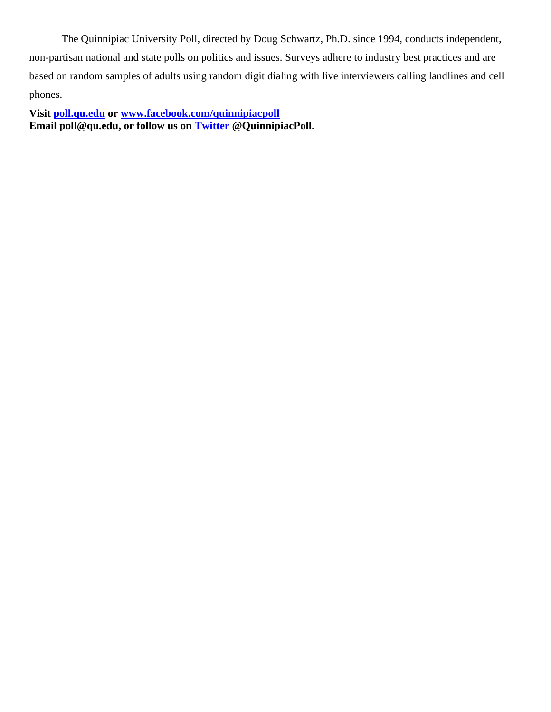The Quinnipiac University Poll, directed by Doug Schwartz, Ph.D. since 1994, conducts independent, non-partisan national and state polls on politics and issues. Surveys adhere to industry best practices and are based on random samples of adults using random digit dialing with live interviewers calling landlines and cell phones.

**Visit [poll.qu.edu](https://poll.qu.edu/) or [www.facebook.com/quinnipiacpoll](http://www.facebook.com/quinnipiacpoll)  Email poll@qu.edu, or follow us on [Twitter](http://twitter.com/QuinnipiacPoll) @QuinnipiacPoll.**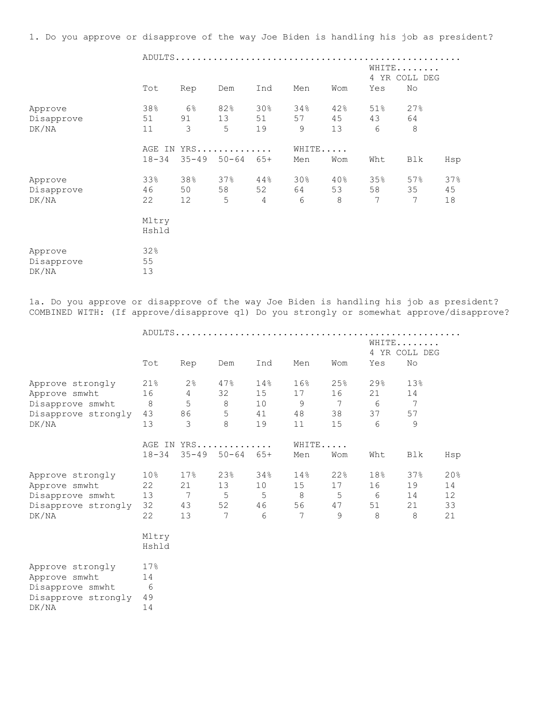1. Do you approve or disapprove of the way Joe Biden is handling his job as president?

|                                | Tot                 | Rep              | Dem                     | Ind                         | Men            | Wom             | Yes            | WHITE<br>4 YR COLL DEG<br>No |                 |
|--------------------------------|---------------------|------------------|-------------------------|-----------------------------|----------------|-----------------|----------------|------------------------------|-----------------|
| Approve<br>Disapprove<br>DK/NA | 38%<br>51<br>11     | $6\%$<br>91<br>3 | 82%<br>13<br>5          | 30 <sub>8</sub><br>51<br>19 | 34%<br>57<br>9 | 42%<br>45<br>13 | 51%<br>43<br>6 | 27%<br>64<br>8               |                 |
|                                | AGE IN<br>$18 - 34$ | $35 - 49$        | YRS<br>$50 - 64$ $65 +$ |                             | WHITE<br>Men   | Wom             | Wht            | Blk                          | Hsp             |
| Approve<br>Disapprove<br>DK/NA | 33%<br>46<br>22     | 38%<br>50<br>12  | 37%<br>58<br>5          | 44%<br>52<br>4              | 30%<br>64<br>6 | 40%<br>53<br>8  | 35%<br>58<br>7 | 57%<br>35<br>7               | 37%<br>45<br>18 |
|                                | Mltry<br>Hshld      |                  |                         |                             |                |                 |                |                              |                 |
| Approve<br>Disapprove<br>DK/NA | 32%<br>55<br>13     |                  |                         |                             |                |                 |                |                              |                 |

1a. Do you approve or disapprove of the way Joe Biden is handling his job as president? COMBINED WITH: (If approve/disapprove q1) Do you strongly or somewhat approve/disapprove?

|                     |                 |                 |                            |     |       |                 | WHITE         |                 |     |
|---------------------|-----------------|-----------------|----------------------------|-----|-------|-----------------|---------------|-----------------|-----|
|                     |                 |                 |                            |     |       |                 | 4 YR COLL DEG |                 |     |
|                     | Tot             | Rep             | Dem                        | Ind | Men   | Wom             | Yes           | No              |     |
| Approve strongly    | 21%             | $2\frac{6}{6}$  | 47%                        | 14% | 16%   | 25%             | 29%           | 13%             |     |
| Approve smwht       | 16              | $\overline{4}$  | 32                         | 15  | 17    | 16              | 21            | 14              |     |
| Disapprove smwht    | 8 <sup>8</sup>  | 5               | $8\,$                      | 10  | 9     | $7\overline{ }$ | - 6           | $7\phantom{.0}$ |     |
| Disapprove strongly | 43              | 86              | 5                          | 41  | 48    | 38              | 37            | 57              |     |
| DK/NA               | 13              | 3               | 8                          | 19  | 11    | 15              | 6             | 9               |     |
|                     |                 |                 | AGE IN YRS                 |     | WHITE |                 |               |                 |     |
|                     | $18 - 34$       |                 | $35 - 49$ $50 - 64$ $65 +$ |     | Men   | Wom             | Wht           | Blk             | Hsp |
| Approve strongly    | 10 <sub>8</sub> | 17%             | 23%                        | 34% | 14%   | 22%             | 18%           | 37%             | 20% |
| Approve smwht       | 22              | 21              | 13                         | 10  | 15    | 17              | 16            | 19              | 14  |
| Disapprove smwht    | 13              | $7\phantom{.0}$ | 5                          | 5   | 8     | 5               | 6             | 14              | 12  |
| Disapprove strongly | 32              | 43              | 52                         | 46  | 56    | 47              | 51            | 21              | 33  |
| DK/NA               | 22              | 13              | $7\phantom{.0}$            | 6   | 7     | 9               | 8             | 8               | 21  |
|                     | Mltry           |                 |                            |     |       |                 |               |                 |     |
|                     | Hshld           |                 |                            |     |       |                 |               |                 |     |
| Approve strongly    | 17%             |                 |                            |     |       |                 |               |                 |     |
| Approve smwht       | 14              |                 |                            |     |       |                 |               |                 |     |
| Disapprove smwht    | 6               |                 |                            |     |       |                 |               |                 |     |
| Disapprove strongly | 49              |                 |                            |     |       |                 |               |                 |     |
| DK/NA               | 14              |                 |                            |     |       |                 |               |                 |     |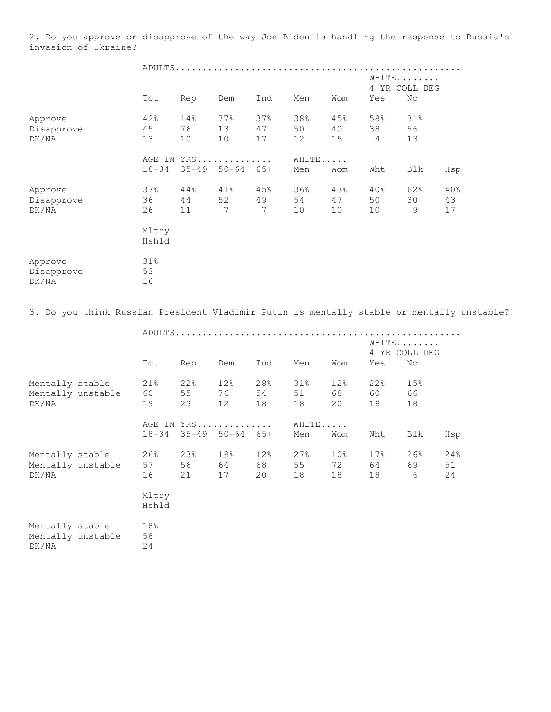2. Do you approve or disapprove of the way Joe Biden is handling the response to Russia's invasion of Ukraine?

|                                | Tot             | Rep             | Dem                     | Ind             | Men             | Wom             | WHITE<br>4 YR COLL DEG<br>Yes | No              |                 |
|--------------------------------|-----------------|-----------------|-------------------------|-----------------|-----------------|-----------------|-------------------------------|-----------------|-----------------|
| Approve<br>Disapprove<br>DK/NA | 42%<br>45<br>13 | 14%<br>76<br>10 | 77%<br>13<br>10         | 37%<br>47<br>17 | 38%<br>50<br>12 | 45%<br>40<br>15 | 58%<br>38<br>$\overline{4}$   | 31%<br>56<br>13 |                 |
|                                | $18 - 34$       | $35 - 49$       | AGE IN YRS<br>$50 - 64$ | $65+$           | WHITE<br>Men    | Wom             | Wht                           | Blk             | Hsp             |
| Approve<br>Disapprove<br>DK/NA | 37%<br>36<br>26 | 44%<br>44<br>11 | 41%<br>52<br>7          | 45%<br>49<br>7  | 36%<br>54<br>10 | 43%<br>47<br>10 | 40%<br>50<br>10               | 62%<br>30<br>9  | 40%<br>43<br>17 |
|                                | Mltry<br>Hshld  |                 |                         |                 |                 |                 |                               |                 |                 |
| Approve<br>Disapprove<br>DK/NA | 31%<br>53<br>16 |                 |                         |                 |                 |                 |                               |                 |                 |

3. Do you think Russian President Vladimir Putin is mentally stable or mentally unstable?

|                                               |                   |                   |                     |                 |                      |                 |                             | WHITE             | 4 YR COLL DEG   |                 |  |  |
|-----------------------------------------------|-------------------|-------------------|---------------------|-----------------|----------------------|-----------------|-----------------------------|-------------------|-----------------|-----------------|--|--|
|                                               |                   | Tot               | Rep                 | Dem             | Ind                  | Men             | Wom                         | Yes               | No              |                 |  |  |
| Mentally stable<br>Mentally unstable<br>DK/NA |                   | 21%<br>60 0<br>19 | 22%<br>55<br>23     | 12%<br>12       | 28%<br>54<br>18      | 31%<br>51<br>18 | 12%<br>68 —<br>20           | 22%<br>60<br>18   | 15%<br>66<br>18 |                 |  |  |
|                                               |                   | $18 - 34$         | $35 - 49$ $50 - 64$ | AGE IN YRS      | $65+$                | WHITE<br>Men    | Wom                         | Wht               | Blk             | Hsp             |  |  |
| Mentally stable<br>DK/NA                      | Mentally unstable | 26%<br>57<br>16   | 23%<br>56<br>21     | 19%<br>64<br>17 | 12%<br>68 — 10<br>20 | 27%<br>55<br>18 | 10 <sub>8</sub><br>72<br>18 | 17%<br>64 —<br>18 | 26%<br>69<br>6  | 24%<br>51<br>24 |  |  |
|                                               |                   | Mltry<br>Hshld    |                     |                 |                      |                 |                             |                   |                 |                 |  |  |
| Mentally stable<br>Mentally unstable<br>DK/NA |                   | 18%<br>58<br>24   |                     |                 |                      |                 |                             |                   |                 |                 |  |  |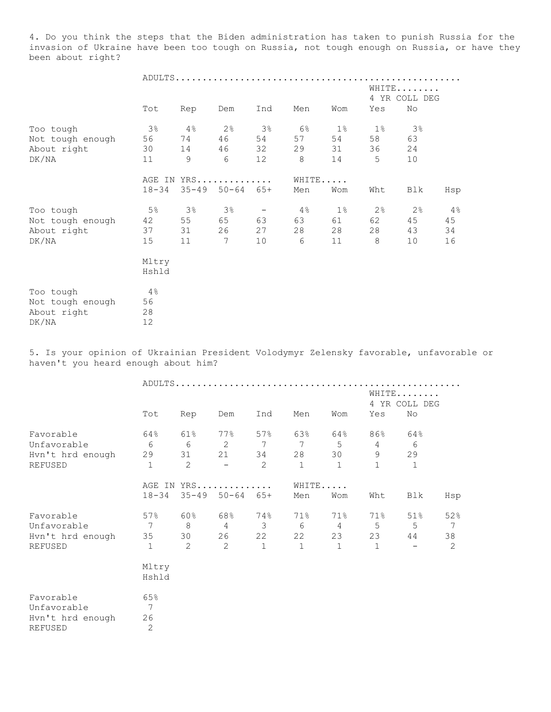4. Do you think the steps that the Biden administration has taken to punish Russia for the invasion of Ukraine have been too tough on Russia, not tough enough on Russia, or have they been about right?

|                  |           |       |                            |                          |     |       |                | WHITE          |       |
|------------------|-----------|-------|----------------------------|--------------------------|-----|-------|----------------|----------------|-------|
|                  |           |       |                            |                          |     |       |                | 4 YR COLL DEG  |       |
|                  | Tot       | Rep   | Dem                        | Ind                      | Men | Wom   | Yes            | No             |       |
| Too tough        | 3%        | 4%    | 2 <sup>°</sup>             | 3%                       | 6%  | $1\%$ | $1\%$          | $3\%$          |       |
| Not tough enough | 56        | 74    | 46                         | 54                       | 57  | 54    | 58             | 63             |       |
| About right      | 30        | 14    | 46                         | 32                       | 29  | 31    | 36             | 24             |       |
| DK/NA            | 11        | 9     | 6                          | 12                       | 8   | 14    | 5              | 10             |       |
|                  |           |       | AGE IN YRS                 |                          |     | WHITE |                |                |       |
|                  | $18 - 34$ |       | $35 - 49$ $50 - 64$ $65 +$ |                          | Men | Wom   | Wht            | Blk            | Hsp   |
| Too tough        | 5%        | $3\%$ | 3 <sup>°</sup>             | $\overline{\phantom{a}}$ | 4%  | $1\%$ | 2 <sup>°</sup> | $2\frac{6}{6}$ | $4\%$ |
| Not tough enough | 42        | 55    | 65                         | 63                       | 63  | 61    | 62             | 45             | 45    |
| About right      | 37        | 31    | 26                         | 27                       | 28  | 28    | 28             | 43             | 34    |
| DK/NA            | 15        | 11    | 7                          | 10                       | 6   | 11    | 8              | 10             | 16    |
|                  | Mltry     |       |                            |                          |     |       |                |                |       |
|                  | Hshld     |       |                            |                          |     |       |                |                |       |
| Too tough        | 4%        |       |                            |                          |     |       |                |                |       |
| Not tough enough | 56        |       |                            |                          |     |       |                |                |       |
| About right      | 28        |       |                            |                          |     |       |                |                |       |
| DK/NA            | 12        |       |                            |                          |     |       |                |                |       |

5. Is your opinion of Ukrainian President Volodymyr Zelensky favorable, unfavorable or haven't you heard enough about him?

|                  |                |                | ADULTS         |       |              |                |                |               |     |
|------------------|----------------|----------------|----------------|-------|--------------|----------------|----------------|---------------|-----|
|                  |                |                |                |       |              |                |                | WHITE         |     |
|                  |                |                |                |       |              |                |                | 4 YR COLL DEG |     |
|                  | Tot            | Rep            | Dem            | Ind   | Men          | Wom            | Yes            | No            |     |
| Favorable        | 64%            | 61%            | 77%            | 57%   | 63%          | 64%            | 86%            | 64%           |     |
| Unfavorable      | 6              | 6              | 2              | 7     | 7            | 5              | $\overline{4}$ | 6             |     |
| Hvn't hrd enough | 29             | 31             | 21             | 34    | 28           | 30             | 9              | 29            |     |
| REFUSED          | $\mathbf 1$    | $\overline{c}$ |                | 2     | $\mathbf{1}$ | $\mathbf{1}$   | $\mathbf{1}$   | $\mathbf 1$   |     |
|                  |                |                | AGE IN YRS     |       | WHITE        |                |                |               |     |
|                  | $18 - 34$      | $35 - 49$      | $50 - 64$      | $65+$ | Men          | Wom            | Wht            | Blk           | Hsp |
| Favorable        | 57%            | 60%            | 68%            | 74%   | 71%          | 71%            | 71%            | 51%           | 52% |
| Unfavorable      | 7              | 8              | $\overline{4}$ | 3     | 6            | $\overline{4}$ | 5              | 5             | 7   |
| Hvn't hrd enough | 35             | 30             | 26             | 22    | 22           | 23             | 23             | 44            | 38  |
| REFUSED          | $\mathbf 1$    | 2              | $\mathbf{2}$   | $1\,$ | $\mathbf{1}$ | $1\,$          | $\mathbf{1}$   |               | 2   |
|                  | Mltry          |                |                |       |              |                |                |               |     |
|                  | Hshld          |                |                |       |              |                |                |               |     |
| Favorable        | 65%            |                |                |       |              |                |                |               |     |
| Unfavorable      | 7              |                |                |       |              |                |                |               |     |
| Hvn't hrd enough | 26             |                |                |       |              |                |                |               |     |
| <b>REFUSED</b>   | $\overline{2}$ |                |                |       |              |                |                |               |     |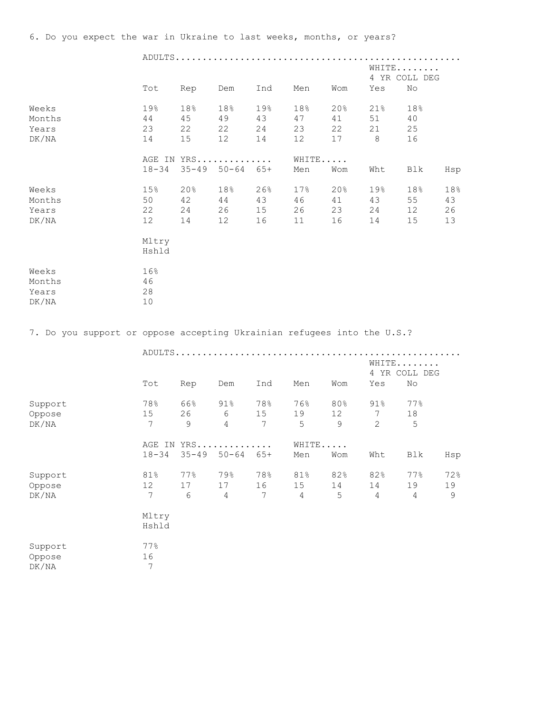6. Do you expect the war in Ukraine to last weeks, months, or years?

|                                                                         |                                         |                                     |                                |                       |                             |                       |                                           | WHITE<br>4 YR COLL DEG      |                       |
|-------------------------------------------------------------------------|-----------------------------------------|-------------------------------------|--------------------------------|-----------------------|-----------------------------|-----------------------|-------------------------------------------|-----------------------------|-----------------------|
|                                                                         | Tot                                     | Rep                                 | Dem                            | Ind                   | Men                         | Wom                   | Yes                                       | No                          |                       |
| Weeks<br>Months<br>Years<br>DK/NA                                       | 19%<br>44<br>23<br>14                   | 18%<br>45<br>22<br>15               | 18%<br>49<br>22<br>12          | 19%<br>43<br>24<br>14 | 18%<br>47<br>23<br>12       | 20%<br>41<br>22<br>17 | 21%<br>51<br>21<br>8                      | 18%<br>40<br>25<br>16       |                       |
|                                                                         | $18 - 34$                               | AGE IN YRS                          | $35 - 49$ $50 - 64$ $65 +$     |                       | WHITE<br>Men                | Wom                   | Wht                                       | Blk                         | Hsp                   |
| Weeks<br>Months<br>Years<br>DK/NA                                       | 15%<br>50<br>22<br>12<br>Mltry<br>Hshld | 20%<br>42<br>24<br>14               | 18%<br>44<br>26<br>12          | 26%<br>43<br>15<br>16 | 17%<br>46<br>26<br>11       | 20%<br>41<br>23<br>16 | 19%<br>43<br>24<br>14                     | 18%<br>55<br>12<br>15       | 18%<br>43<br>26<br>13 |
| Weeks<br>Months<br>Years<br>DK/NA                                       | 16%<br>46<br>28<br>10                   |                                     |                                |                       |                             |                       |                                           |                             |                       |
| 7. Do you support or oppose accepting Ukrainian refugees into the U.S.? |                                         |                                     |                                |                       |                             |                       |                                           |                             |                       |
|                                                                         |                                         |                                     |                                |                       |                             |                       |                                           | WHITE<br>4 YR COLL DEG      |                       |
|                                                                         | Tot                                     | Rep                                 | Dem                            | Ind                   | Men                         | Wom                   | Yes                                       | No                          |                       |
| Support<br>Oppose<br>DK/NA                                              | 78%<br>15<br>7                          | 66%<br>26<br>9                      | 91%<br>$6\,$<br>$\overline{4}$ | 78%<br>15<br>7        | 76%<br>19<br>5              | 80%<br>12<br>9        | $91\%$<br>$7\phantom{.0}$<br>$\mathbf{2}$ | 77%<br>18<br>5              |                       |
|                                                                         |                                         | AGE IN YRS<br>18-34 35-49 50-64 65+ |                                |                       | WHITE<br>Men                | Wom                   | Wht                                       | Blk                         | Hsp                   |
| Support<br>Oppose<br>DK/NA                                              | 81%<br>12<br>7                          | 77%<br>17<br>$6\phantom{.}6$        | 79%<br>17<br>$\overline{4}$    | 78%<br>16<br>7        | 81%<br>15<br>$\overline{4}$ | 82%<br>14<br>5        | 82%<br>14<br>$\overline{4}$               | 77%<br>19<br>$\overline{4}$ | 72%<br>19<br>9        |
|                                                                         | Mltry<br>Hshld                          |                                     |                                |                       |                             |                       |                                           |                             |                       |
| Support<br>Oppose<br>DK/NA                                              | 77%<br>16<br>$\boldsymbol{7}$           |                                     |                                |                       |                             |                       |                                           |                             |                       |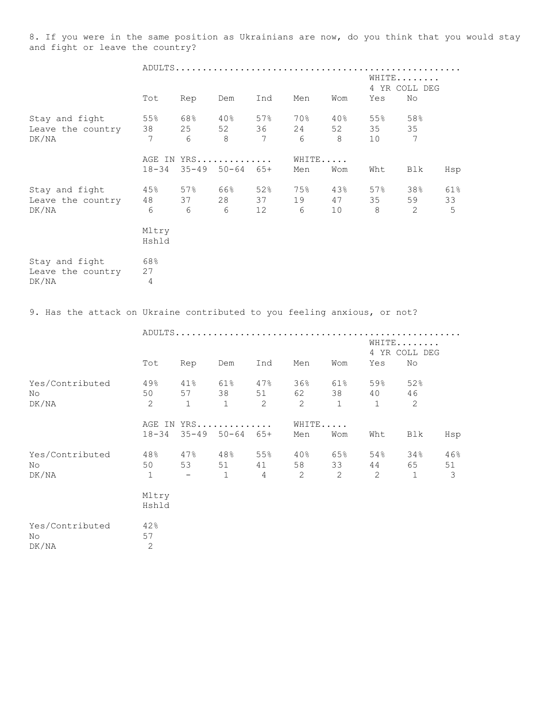8. If you were in the same position as Ukrainians are now, do you think that you would stay and fight or leave the country?

|                                                                          |                                |                           |                            |                              |                              |                           | WHITE                       | 4 YR COLL DEG  |                |
|--------------------------------------------------------------------------|--------------------------------|---------------------------|----------------------------|------------------------------|------------------------------|---------------------------|-----------------------------|----------------|----------------|
|                                                                          | Tot                            | Rep                       | Dem                        | Ind                          | Men                          | Wom                       | Yes                         | No             |                |
| Stay and fight<br>Leave the country<br>DK/NA                             | 55%<br>38<br>7                 | 68%<br>25<br>6            | $40\%$<br>52<br>8          | 57%<br>36<br>$7\phantom{.0}$ | 70%<br>24<br>6               | $40\%$<br>52<br>8         | 55%<br>35<br>10             | 58%<br>35<br>7 |                |
|                                                                          | $18 - 34$                      | AGE IN YRS<br>$35 - 49$   | $50 - 64$ $65 +$           |                              | WHITE<br>Men                 | Wom                       | Wht                         | Blk            | Hsp            |
| Stay and fight<br>Leave the country 48<br>DK/NA                          | 45%<br>6 6 6<br>Mltry<br>Hshld | 57% 66%<br>37             | 28                         | 52%<br>37<br>12              | 75%<br>19<br>$6\overline{6}$ | 43%<br>47<br>10           | 57%<br>35<br>8 <sup>8</sup> | 38%<br>59<br>2 | 61%<br>33<br>5 |
| Stay and fight<br>Leave the country<br>DK/NA                             | 68%<br>27<br>4                 |                           |                            |                              |                              |                           |                             |                |                |
| 9. Has the attack on Ukraine contributed to you feeling anxious, or not? |                                |                           |                            |                              |                              |                           |                             |                |                |
|                                                                          |                                |                           |                            |                              |                              |                           | WHITE                       | 4 YR COLL DEG  |                |
|                                                                          | Tot                            | Rep                       | Dem                        | Ind                          | Men                          | Wom                       | Yes                         | No             |                |
| Yes/Contributed<br>No<br>DK/NA                                           | 49%<br>50<br>2                 | 41%<br>57<br>$\mathbf{1}$ | 61%<br>38<br>1             | 47%<br>51<br>2               | 36%<br>62<br>2               | 61%<br>38<br>$\mathbf{1}$ | 59%<br>40<br>1              | 52%<br>46<br>2 |                |
|                                                                          | $18 - 34$                      | AGE IN YRS                | $35 - 49$ $50 - 64$ $65 +$ |                              | WHITE<br>Men                 | Wom                       | Wht                         | Blk            | Hsp            |
| Yes/Contributed<br>No<br>DK/NA                                           | 48%                            | 47%                       | 48%                        | 55%                          | 40%                          | 65%                       | 54%                         | 34%            |                |
|                                                                          | 50<br>1<br>Mltry<br>Hshld      | 53                        | 51<br>1                    | 41<br>$\overline{4}$         | 58<br>$\mathbf{2}$           | 33<br>$\mathbf{2}$        | 44<br>$\mathbf{2}$          | 65<br>1        | 46%<br>51<br>3 |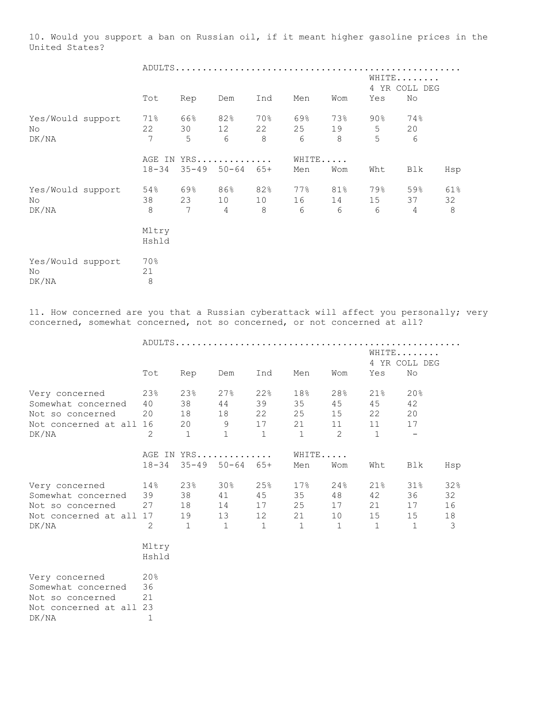10. Would you support a ban on Russian oil, if it meant higher gasoline prices in the United States?

|                                   | Tot            | Rep            | Dem                         | Ind            | Men            | Wom            | WHITE<br>Yes     | 4 YR COLL DEG<br>No         |                |
|-----------------------------------|----------------|----------------|-----------------------------|----------------|----------------|----------------|------------------|-----------------------------|----------------|
|                                   |                |                |                             |                |                |                |                  |                             |                |
| Yes/Would support<br>No.<br>DK/NA | 71%<br>22<br>7 | 66%<br>30<br>5 | 82%<br>12<br>6              | 70%<br>22<br>8 | 69%<br>25<br>6 | 73%<br>19<br>8 | $90\%$<br>5<br>5 | 74%<br>20<br>6              |                |
|                                   |                |                | AGE IN YRS                  |                | WHITE          |                |                  |                             |                |
|                                   | $18 - 34$      |                | $35 - 49$ $50 - 64$ $65 +$  |                | Men            | Wom            | Wht              | Blk                         | Hsp            |
| Yes/Would support<br>No.<br>DK/NA | 54%<br>38<br>8 | 69%<br>23<br>7 | 86%<br>10<br>$\overline{4}$ | 82%<br>10<br>8 | 77%<br>16<br>6 | 81%<br>14<br>6 | 79%<br>15<br>6   | 59%<br>37<br>$\overline{4}$ | 61%<br>32<br>8 |
|                                   | Mltry<br>Hshld |                |                             |                |                |                |                  |                             |                |
| Yes/Would support<br>No<br>DK/NA  | 70%<br>21<br>8 |                |                             |                |                |                |                  |                             |                |

11. How concerned are you that a Russian cyberattack will affect you personally; very concerned, somewhat concerned, not so concerned, or not concerned at all?

|                       | Tot            | Rep          | Dem                        | Ind          | Men          | Wom          | WHITE<br>Yes | 4 YR COLL DEG<br>No |     |
|-----------------------|----------------|--------------|----------------------------|--------------|--------------|--------------|--------------|---------------------|-----|
|                       |                |              |                            |              |              |              |              |                     |     |
| Very concerned        | 23%            | 23%          | 27%                        | 22%          | 18%          | 28%          | 21%          | 20%                 |     |
| Somewhat concerned    | 40             | 38           | 44                         | 39           | 35           | 45           | 45           | 42                  |     |
| Not so concerned      | 20             | 18           | 18                         | 22           | 25           | 15           | 22           | 20                  |     |
| Not concerned at all  | 16             | 20           | $\overline{9}$             | 17           | 21           | 11           | 11           | 17                  |     |
| DK/NA                 | $\overline{2}$ | $\mathbf{1}$ | $\mathbf{1}$               | $\mathbf{1}$ | $\mathbf{1}$ | 2            | $\sqrt{1}$   |                     |     |
|                       |                |              | AGE IN YRS                 |              | WHITE        |              |              |                     |     |
|                       | $18 - 34$      |              | $35 - 49$ $50 - 64$ $65 +$ |              | Men          | Wom          | Wht          | Blk                 | Hsp |
| 14%<br>Very concerned |                | 23%          | 30%                        | 25%          | 17%          | 24%          | $21\%$       | 31%                 | 32% |
| Somewhat concerned 39 |                | 38           | 41                         | 45           | 35           | 48           | 42           | 36                  | 32  |
| Not so concerned      | 27             | 18           | 14                         | 17           | 25           | 17           | 21           | 17                  | 16  |
| Not concerned at all  | 17             | 19           | 13                         | 12           | 21           | 10           | 15           | 15                  | 18  |
| DK/NA                 | 2              | $\mathbf{1}$ | $\mathbf{1}$               | $\mathbf{1}$ | $\mathbf{1}$ | $\mathbf{1}$ | $\mathbf{1}$ | $\mathbf{1}$        | 3   |
|                       | Mltry<br>Hshld |              |                            |              |              |              |              |                     |     |

| Very concerned          | 20 <sup>8</sup> |
|-------------------------|-----------------|
| Somewhat concerned      | 36              |
| Not so concerned        | 21              |
| Not concerned at all 23 |                 |
| DK/NA                   |                 |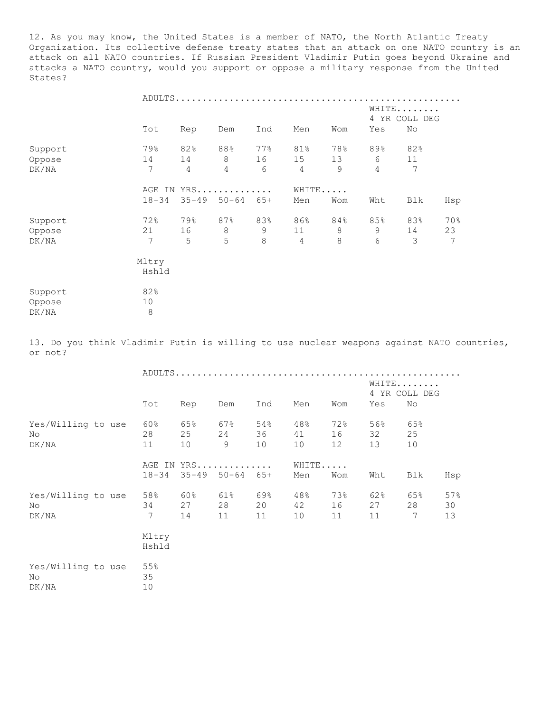12. As you may know, the United States is a member of NATO, the North Atlantic Treaty Organization. Its collective defense treaty states that an attack on one NATO country is an attack on all NATO countries. If Russian President Vladimir Putin goes beyond Ukraine and attacks a NATO country, would you support or oppose a military response from the United States?

|         |           |           | ADULTS    |         |                |         |     |                        |     |
|---------|-----------|-----------|-----------|---------|----------------|---------|-----|------------------------|-----|
|         |           |           |           |         |                |         |     | WHITE<br>4 YR COLL DEG |     |
|         | Tot       | Rep       | Dem       | Ind     | Men            | Wom     | Yes | No                     |     |
| Support | 79%       | 82%       | 88%       | 77%     | 81%            | 78%     | 89% | 82%                    |     |
| Oppose  | 14        | 14        | $\,8\,$   | 16      | 15             | 13      | 6   | 11                     |     |
| DK/NA   | 7         | 4         | 4         | 6       | $\overline{4}$ | 9       | 4   | 7                      |     |
|         | AGE IN    |           | $YRS$     |         |                | WHITE   |     |                        |     |
|         | $18 - 34$ | $35 - 49$ | $50 - 64$ | $65+$   | Men            | Wom     | Wht | Blk                    | Hsp |
| Support | 72%       | 79%       | 87%       | 83%     | 86%            | 84%     | 85% | 83%                    | 70% |
| Oppose  | 21        | 16        | 8         | 9       | 11             | 8       | 9   | 14                     | 23  |
| DK/NA   | 7         | 5         | 5         | $\,8\,$ | $\overline{4}$ | $\,8\,$ | 6   | 3                      | 7   |
|         | Mltry     |           |           |         |                |         |     |                        |     |
|         | Hshld     |           |           |         |                |         |     |                        |     |
| Support | 82%       |           |           |         |                |         |     |                        |     |
| Oppose  | 10        |           |           |         |                |         |     |                        |     |
| DK/NA   | $\,8\,$   |           |           |         |                |         |     |                        |     |

13. Do you think Vladimir Putin is willing to use nuclear weapons against NATO countries, or not?

|                                    | Tot             | Rep                                      | Dem             | Ind                 | Men             | Wom             | WHITE<br>Yes    | 4 YR COLL DEG<br>No |                 |
|------------------------------------|-----------------|------------------------------------------|-----------------|---------------------|-----------------|-----------------|-----------------|---------------------|-----------------|
| Yes/Willing to use<br>No.<br>DK/NA | 60%<br>28<br>11 | 65%<br>25<br>10                          | 67%<br>24<br>9  | 54%<br>36 — 1<br>10 | 48%<br>41<br>10 | 72%<br>16<br>12 | 56%<br>32<br>13 | 65%<br>25<br>10     |                 |
|                                    | $18 - 34$       | AGE IN YRS<br>$35 - 49$ $50 - 64$ $65 +$ |                 |                     | WHITE<br>Men    | Wom             | Wht             | Blk                 | Hsp             |
| Yes/Willing to use<br>No.<br>DK/NA | 58%<br>34<br>7  | 60%<br>27<br>14                          | 61%<br>28<br>11 | 69%<br>20<br>11     | 48%<br>42<br>10 | 73%<br>16<br>11 | 62%<br>27<br>11 | 65%<br>28<br>7      | 57%<br>30<br>13 |
|                                    | Mltry<br>Hshld  |                                          |                 |                     |                 |                 |                 |                     |                 |
| Yes/Willing to use<br>No<br>DK/NA  | 55%<br>35<br>10 |                                          |                 |                     |                 |                 |                 |                     |                 |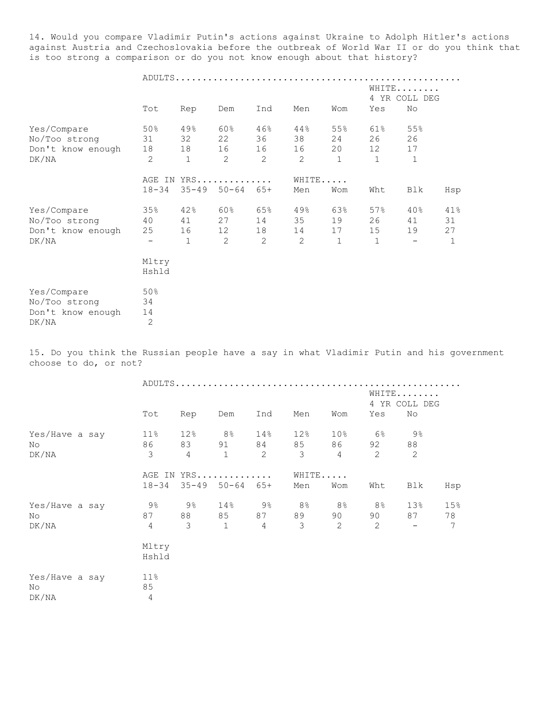14. Would you compare Vladimir Putin's actions against Ukraine to Adolph Hitler's actions against Austria and Czechoslovakia before the outbreak of World War II or do you think that is too strong a comparison or do you not know enough about that history?

|                                                            | ADULTS                                      |                                 |                                   |                      |                                   |                                 |                                 |                                 |                      |
|------------------------------------------------------------|---------------------------------------------|---------------------------------|-----------------------------------|----------------------|-----------------------------------|---------------------------------|---------------------------------|---------------------------------|----------------------|
|                                                            |                                             |                                 |                                   |                      |                                   |                                 |                                 | WHITE<br>4 YR COLL DEG          |                      |
|                                                            | Tot                                         | Rep                             | Dem                               | Ind                  | Men                               | Wom                             | Yes                             | No                              |                      |
| Yes/Compare<br>No/Too strong<br>Don't know enough<br>DK/NA | 50%<br>31<br>18<br>2                        | 49%<br>32<br>18<br>$\mathbf{1}$ | 60%<br>22<br>16<br>2              | 46%<br>36<br>16<br>2 | 44%<br>38<br>16<br>2              | 55%<br>24<br>20<br>$\mathbf{1}$ | 61%<br>26<br>12<br>$\mathbf{1}$ | 55%<br>26<br>17<br>$\mathbf{1}$ |                      |
|                                                            | $18 - 34$                                   |                                 | AGE IN YRS<br>$35 - 49$ $50 - 64$ | 65+                  | Men                               | WHITE<br>Wom                    | Wht                             | Blk                             | Hsp                  |
| Yes/Compare<br>No/Too strong<br>Don't know enough<br>DK/NA | 35%<br>40<br>25<br>$\overline{\phantom{a}}$ | 42%<br>41<br>16<br>$\mathbf{1}$ | 60%<br>27<br>12<br>2              | 65%<br>14<br>18<br>2 | 49%<br>35<br>14<br>$\overline{2}$ | 63%<br>19<br>17<br>$\mathbf{1}$ | 57%<br>26<br>15<br>$\mathbf{1}$ | 40%<br>41<br>19                 | 41%<br>31<br>27<br>1 |
|                                                            | Mltry<br>Hshld                              |                                 |                                   |                      |                                   |                                 |                                 |                                 |                      |
| Yes/Compare<br>No/Too strong<br>Don't know enough<br>DK/NA | 50%<br>34<br>14<br>$\overline{2}$           |                                 |                                   |                      |                                   |                                 |                                 |                                 |                      |

15. Do you think the Russian people have a say in what Vladimir Putin and his government choose to do, or not?

|                               | Tot                             | Rep                    | Dem                                         | Ind                     | Men                                  | Wom                                        | Yes                        | WHITE<br>4 YR COLL DEG<br>No         |                              |  |
|-------------------------------|---------------------------------|------------------------|---------------------------------------------|-------------------------|--------------------------------------|--------------------------------------------|----------------------------|--------------------------------------|------------------------------|--|
| Yes/Have a say<br>No<br>DK/NA | 11%<br>86<br>3                  | 12%<br>$4\overline{ }$ | $8\%$ 14%<br>$\overline{1}$                 | 91 84<br>$\overline{2}$ | 12%<br>85<br>$\overline{\mathbf{3}}$ | 10 <sup>°</sup><br>86 1<br>$4\overline{ }$ | 6%<br>92<br>$\overline{c}$ | 9%<br>88<br>$\overline{\phantom{0}}$ |                              |  |
|                               |                                 |                        | AGE IN YRS<br>$18-34$ $35-49$ $50-64$ $65+$ |                         | WHITE<br>Men                         | Wom                                        | Wht                        | Blk                                  | Hsp                          |  |
| Yes/Have a say<br>No<br>DK/NA | 9%<br>87 — 18<br>$\overline{4}$ | 9%<br>3                | 14% 9%<br>$\overline{1}$                    | 85 87<br>$\overline{4}$ | 8%<br>89<br>$\mathcal{E}$            | 8 %<br>90 0<br>2                           | 8%<br>90<br>2              | 13 <sup>°</sup><br>87<br>$\sim$ $-$  | 15%<br>78<br>$7\phantom{.0}$ |  |
|                               | Mltry<br>Hshld                  |                        |                                             |                         |                                      |                                            |                            |                                      |                              |  |
| Yes/Have a say<br>No<br>DK/NA | $11\%$<br>85<br>$\overline{4}$  |                        |                                             |                         |                                      |                                            |                            |                                      |                              |  |